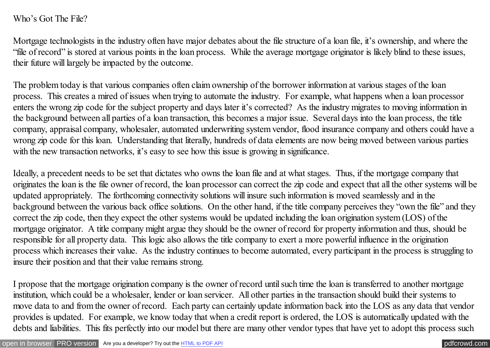## Who's Got The File?

Mortgage technologists in the industry often have major debates about the file structure of a loan file, it's ownership, and where the "file of record" is stored at various points in the loan process. While the average mortgage originator is likely blind to these issues, their future will largely be impacted by the outcome.

The problem today is that various companies often claim ownership of the borrower information at various stages of the loan process. This creates a mired of issues when trying to automate the industry. For example, what happens when a loan processor enters the wrong zip code for the subject property and days later it's corrected? As the industry migrates to moving information in the background between all parties of a loan transaction, this becomes a major issue. Several days into the loan process, the title company, appraisal company, wholesaler, automated underwriting system vendor, flood insurance company and others could have a wrong zip code for this loan. Understanding that literally, hundreds of data elements are now being moved between various parties with the new transaction networks, it's easy to see how this issue is growing in significance.

Ideally, a precedent needs to be set that dictates who owns the loan file and at what stages. Thus, if the mortgage company that originates the loan is the file owner of record, the loan processor can correct the zip code and expect that all the other systems will be updated appropriately. The forthcoming connectivity solutions will insure such information is moved seamlessly and in the background between the various back office solutions. On the other hand, if the title company perceives they "own the file" and they correct the zip code, then they expect the other systems would be updated including the loan origination system (LOS) of the mortgage originator. A title company might argue they should be the owner of record for property information and thus, should be responsible for all property data. This logic also allows the title company to exert a more powerful influence in the origination process which increases their value. As the industry continues to become automated, every participant in the process is struggling to insure their position and that their value remains strong.

I propose that the mortgage origination company is the owner of record until such time the loan is transferred to another mortgage institution, which could be a wholesaler, lender or loan servicer. All other parties in the transaction should build their systems to move data to and from the owner of record. Each party can certainly update information back into the LOS as any data that vendor provides is updated. For example, we know today that when a credit report is ordered, the LOS is automatically updated with the debts and liabilities. This fits perfectly into our model but there are many other vendor types that have yet to adopt this process such